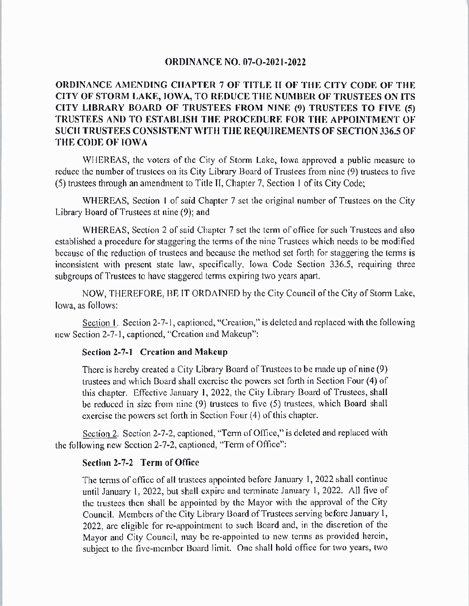## **ORDINANCE NO. 07-O-2021-2022**

## ORDINANCE AMENDING CHAPTER 7 OF TITLE II OF THE CITY CODE OF THE CITY OF STORM LAKE, IOWA, TO REDUCE THE NUMBER OF TRUSTEES ON ITS CITY LIBRARY BOARD OF TRUSTEES FROM NINE (9) TRUSTEES TO FIVE (5) TRUSTEES AND TO ESTABLISH THE PROCEDURE FOR THE APPOINTMENT OF SUCH TRUSTEES CONSISTENT WITH THE REQUIREMENTS OF SECTION 336.5 OF THE CODE OF IOWA

WHEREAS, the voters of the City of Storm Lake, Iowa approved a public measure to reduce the number of trustees on its City Library Board of Trustees from nine (9) trustees to five 5) trustees through an amendment to Title II, Chapter 7, Section <sup>1</sup> of its City Code;

WHEREAS, Section 1 of said Chapter 7 set the original number of Trustees on the City Library Board of Trustees at nine (9); and

WHEREAS, Section 2 of said Chapter 7 set the term of office for such Trustees and also established a procedure for staggering the terms of the nine Trustees which needs to be modified because of the reduction of trustees and because the method set forth for staggering the terms is inconsistent with present state law, specifically, Iowa Code Section 336.5, requiring three subgroups of Trustees to have staggered terms expiring two years apart.

NOW, THEREFORE, BE IT ORDAINED by the City Council of the City of Storm Lake, Iowa, as follows:

Section 1. Section 2-7-1, captioned, "Creation," is deleted and replaced with the following new Section 2-7-1, captioned, "Creation and Makeup":

## Section 2-7-1 Creation and Makeup

There is hereby created a City Library Board of Trustees to be made up of nine (9) trustees and which Board shall exercise the powers set forth in Section Four (4) of this chapter. Effective January 1, 2022, the City Library Board of Trustees, shall be reduced in size from nine  $(9)$  trustees to five  $(5)$  trustees, which Board shall exercise the powers set forth in Section Four (4) of this chapter.

Section 2. Section 2-7-2, captioned, "Term of Office," is deleted and replaced with the following new Section 2-7-2, captioned, "Term of Office":

## Section 2-7-2 Term of Office

The terms of office of all trustees appointed before January 1, 2022 shall continue until January 1, 2022, but shall expire and terminate January 1, 2022. All five of the trustees then shall be appointed by the Mayor with the approval of the City Council. Members of the City Library Board of Trustees serving before January 1, 2022, are eligible for re -appointment to such Board and, in the discretion of the Mayor and City Council, may be re -appointed to new terms as provided herein, subject to the five -member Board limit. One shall hold office for two years, two